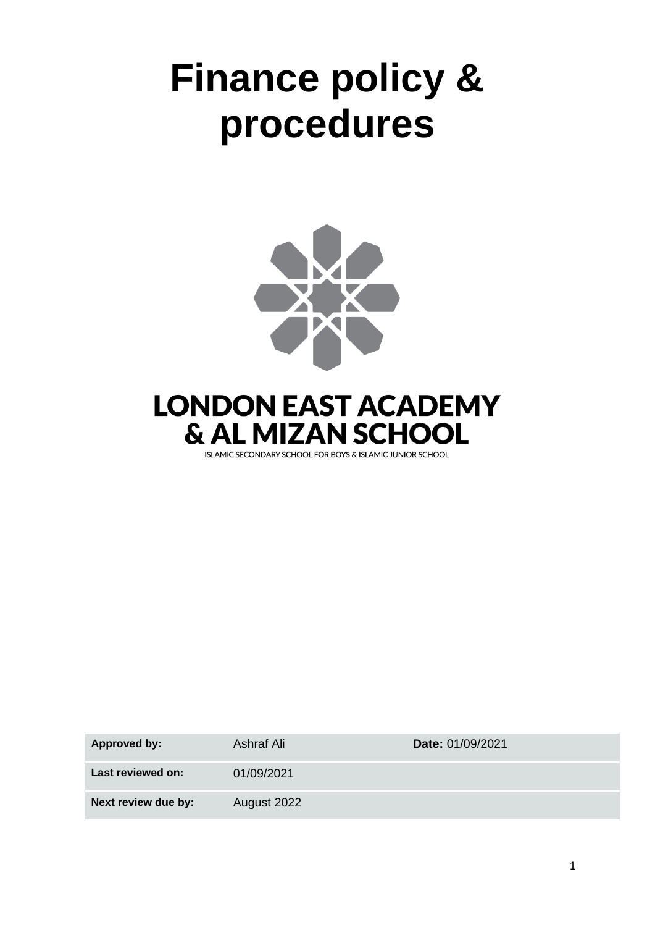# **Finance policy & procedures**



**LONDON EAST ACADEMY & AL MIZAN SCHOOL** 

ISLAMIC SECONDARY SCHOOL FOR BOYS & ISLAMIC JUNIOR SCHOOL

| <b>Approved by:</b> | Ashraf Ali  | Date: 01/09/2021 |
|---------------------|-------------|------------------|
| Last reviewed on:   | 01/09/2021  |                  |
| Next review due by: | August 2022 |                  |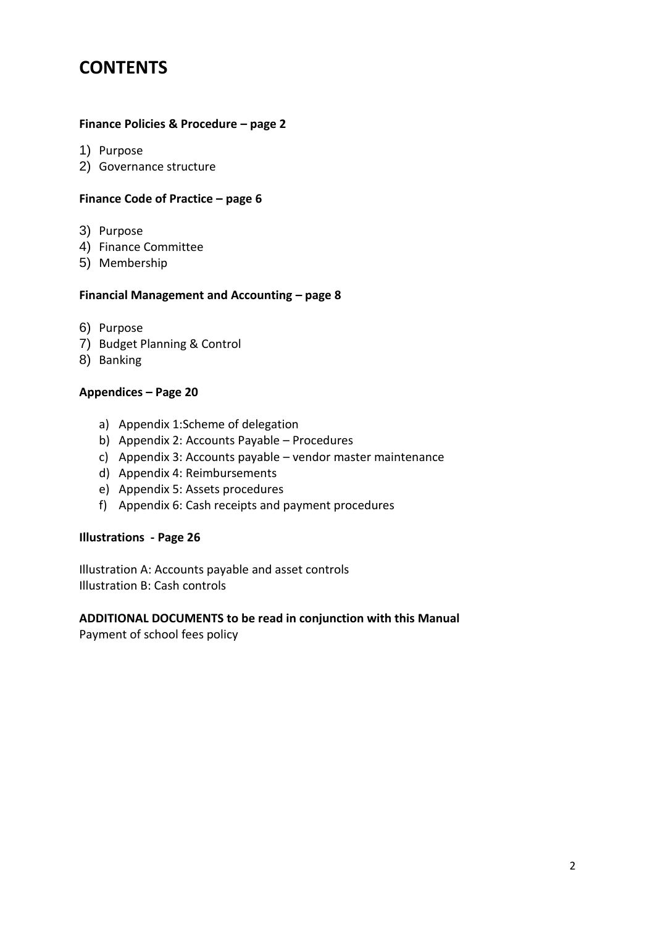### **CONTENTS**

#### **Finance Policies & Procedure – page 2**

- 1) Purpose
- 2) Governance structure

#### **Finance Code of Practice – page 6**

- 3) Purpose
- 4) Finance Committee
- 5) Membership

#### **Financial Management and Accounting – page 8**

- 6) Purpose
- 7) Budget Planning & Control
- 8) Banking

#### **Appendices – Page 20**

- a) Appendix 1:Scheme of delegation
- b) Appendix 2: Accounts Payable Procedures
- c) Appendix 3: Accounts payable vendor master maintenance
- d) Appendix 4: Reimbursements
- e) Appendix 5: Assets procedures
- f) Appendix 6: Cash receipts and payment procedures

#### **Illustrations - Page 26**

Illustration A: Accounts payable and asset controls Illustration B: Cash controls

#### **ADDITIONAL DOCUMENTS to be read in conjunction with this Manual**

Payment of school fees policy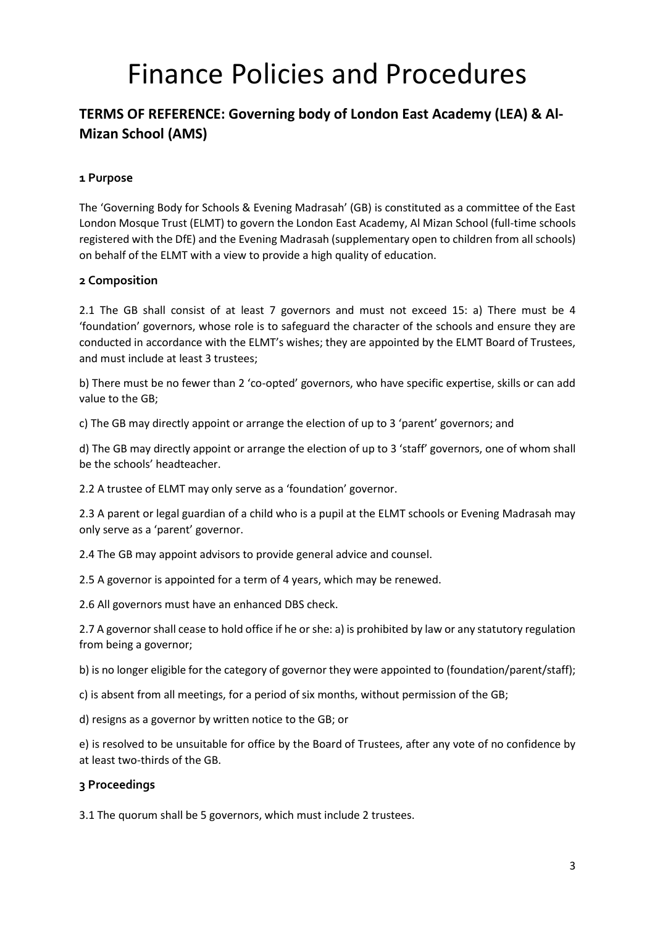# Finance Policies and Procedures

#### **TERMS OF REFERENCE: Governing body of London East Academy (LEA) & Al-Mizan School (AMS)**

#### **1 Purpose**

The 'Governing Body for Schools & Evening Madrasah' (GB) is constituted as a committee of the East London Mosque Trust (ELMT) to govern the London East Academy, Al Mizan School (full-time schools registered with the DfE) and the Evening Madrasah (supplementary open to children from all schools) on behalf of the ELMT with a view to provide a high quality of education.

#### **2 Composition**

2.1 The GB shall consist of at least 7 governors and must not exceed 15: a) There must be 4 'foundation' governors, whose role is to safeguard the character of the schools and ensure they are conducted in accordance with the ELMT's wishes; they are appointed by the ELMT Board of Trustees, and must include at least 3 trustees;

b) There must be no fewer than 2 'co-opted' governors, who have specific expertise, skills or can add value to the GB;

c) The GB may directly appoint or arrange the election of up to 3 'parent' governors; and

d) The GB may directly appoint or arrange the election of up to 3 'staff' governors, one of whom shall be the schools' headteacher.

2.2 A trustee of ELMT may only serve as a 'foundation' governor.

2.3 A parent or legal guardian of a child who is a pupil at the ELMT schools or Evening Madrasah may only serve as a 'parent' governor.

2.4 The GB may appoint advisors to provide general advice and counsel.

2.5 A governor is appointed for a term of 4 years, which may be renewed.

2.6 All governors must have an enhanced DBS check.

2.7 A governor shall cease to hold office if he or she: a) is prohibited by law or any statutory regulation from being a governor;

b) is no longer eligible for the category of governor they were appointed to (foundation/parent/staff);

c) is absent from all meetings, for a period of six months, without permission of the GB;

d) resigns as a governor by written notice to the GB; or

e) is resolved to be unsuitable for office by the Board of Trustees, after any vote of no confidence by at least two-thirds of the GB.

#### **3 Proceedings**

3.1 The quorum shall be 5 governors, which must include 2 trustees.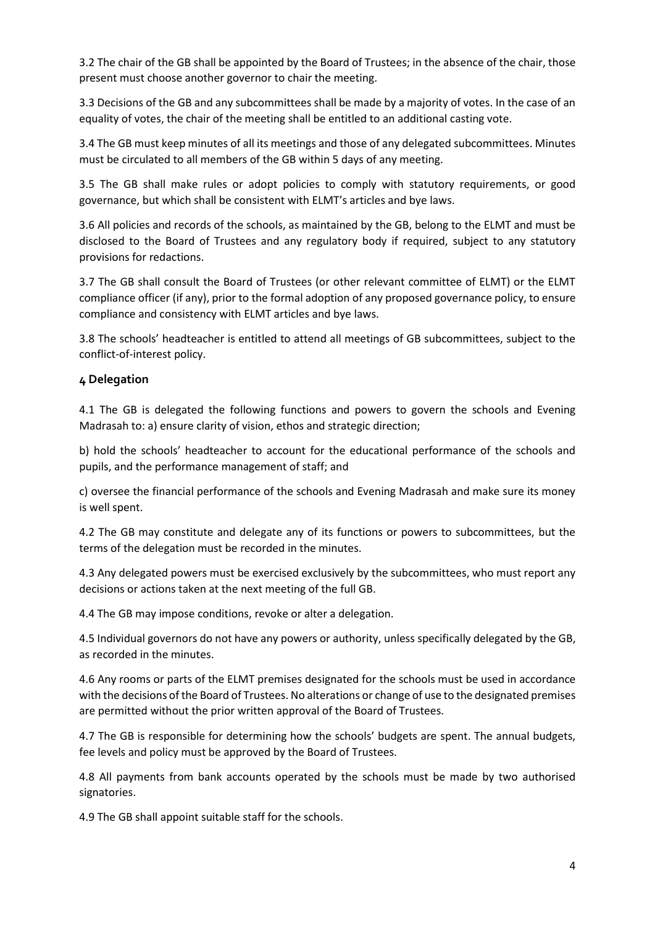3.2 The chair of the GB shall be appointed by the Board of Trustees; in the absence of the chair, those present must choose another governor to chair the meeting.

3.3 Decisions of the GB and any subcommittees shall be made by a majority of votes. In the case of an equality of votes, the chair of the meeting shall be entitled to an additional casting vote.

3.4 The GB must keep minutes of all its meetings and those of any delegated subcommittees. Minutes must be circulated to all members of the GB within 5 days of any meeting.

3.5 The GB shall make rules or adopt policies to comply with statutory requirements, or good governance, but which shall be consistent with ELMT's articles and bye laws.

3.6 All policies and records of the schools, as maintained by the GB, belong to the ELMT and must be disclosed to the Board of Trustees and any regulatory body if required, subject to any statutory provisions for redactions.

3.7 The GB shall consult the Board of Trustees (or other relevant committee of ELMT) or the ELMT compliance officer (if any), prior to the formal adoption of any proposed governance policy, to ensure compliance and consistency with ELMT articles and bye laws.

3.8 The schools' headteacher is entitled to attend all meetings of GB subcommittees, subject to the conflict-of-interest policy.

#### **4 Delegation**

4.1 The GB is delegated the following functions and powers to govern the schools and Evening Madrasah to: a) ensure clarity of vision, ethos and strategic direction;

b) hold the schools' headteacher to account for the educational performance of the schools and pupils, and the performance management of staff; and

c) oversee the financial performance of the schools and Evening Madrasah and make sure its money is well spent.

4.2 The GB may constitute and delegate any of its functions or powers to subcommittees, but the terms of the delegation must be recorded in the minutes.

4.3 Any delegated powers must be exercised exclusively by the subcommittees, who must report any decisions or actions taken at the next meeting of the full GB.

4.4 The GB may impose conditions, revoke or alter a delegation.

4.5 Individual governors do not have any powers or authority, unless specifically delegated by the GB, as recorded in the minutes.

4.6 Any rooms or parts of the ELMT premises designated for the schools must be used in accordance with the decisions of the Board of Trustees. No alterations or change of use to the designated premises are permitted without the prior written approval of the Board of Trustees.

4.7 The GB is responsible for determining how the schools' budgets are spent. The annual budgets, fee levels and policy must be approved by the Board of Trustees.

4.8 All payments from bank accounts operated by the schools must be made by two authorised signatories.

4.9 The GB shall appoint suitable staff for the schools.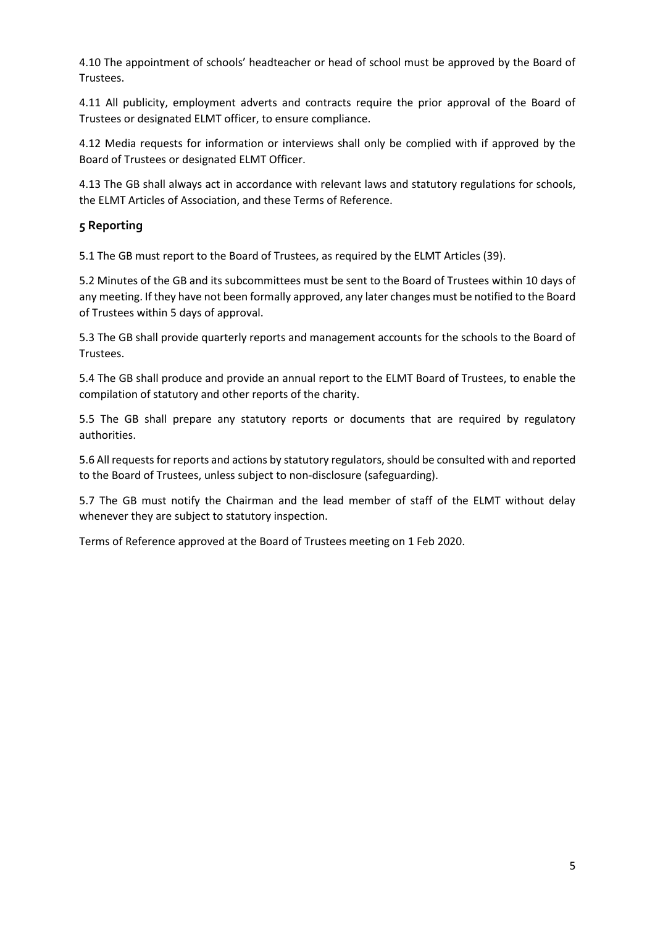4.10 The appointment of schools' headteacher or head of school must be approved by the Board of Trustees.

4.11 All publicity, employment adverts and contracts require the prior approval of the Board of Trustees or designated ELMT officer, to ensure compliance.

4.12 Media requests for information or interviews shall only be complied with if approved by the Board of Trustees or designated ELMT Officer.

4.13 The GB shall always act in accordance with relevant laws and statutory regulations for schools, the ELMT Articles of Association, and these Terms of Reference.

#### **5 Reporting**

5.1 The GB must report to the Board of Trustees, as required by the ELMT Articles (39).

5.2 Minutes of the GB and its subcommittees must be sent to the Board of Trustees within 10 days of any meeting. If they have not been formally approved, any later changes must be notified to the Board of Trustees within 5 days of approval.

5.3 The GB shall provide quarterly reports and management accounts for the schools to the Board of Trustees.

5.4 The GB shall produce and provide an annual report to the ELMT Board of Trustees, to enable the compilation of statutory and other reports of the charity.

5.5 The GB shall prepare any statutory reports or documents that are required by regulatory authorities.

5.6 All requests for reports and actions by statutory regulators, should be consulted with and reported to the Board of Trustees, unless subject to non-disclosure (safeguarding).

5.7 The GB must notify the Chairman and the lead member of staff of the ELMT without delay whenever they are subject to statutory inspection.

Terms of Reference approved at the Board of Trustees meeting on 1 Feb 2020.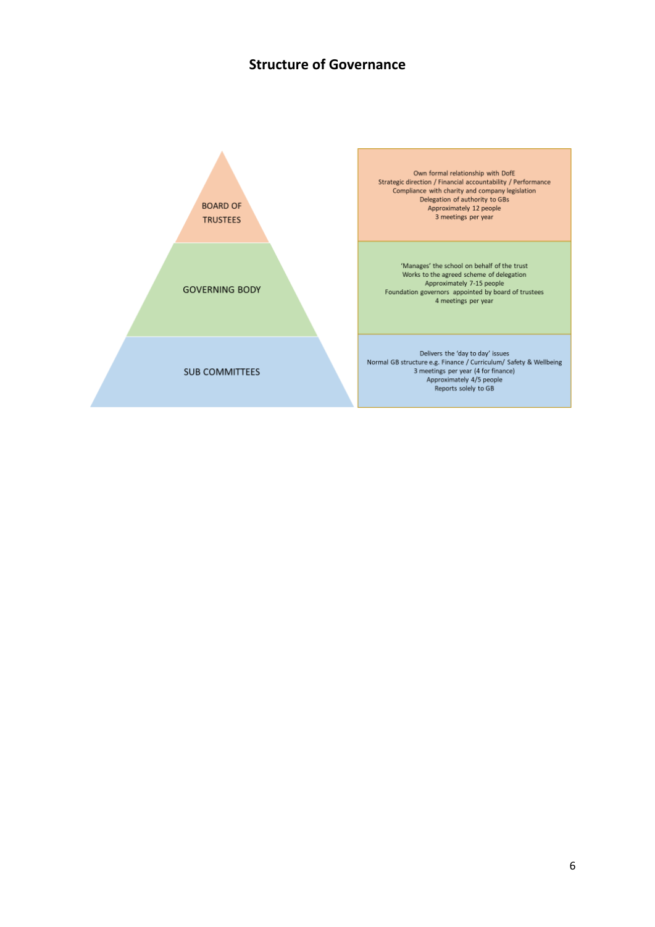#### **Structure of Governance**

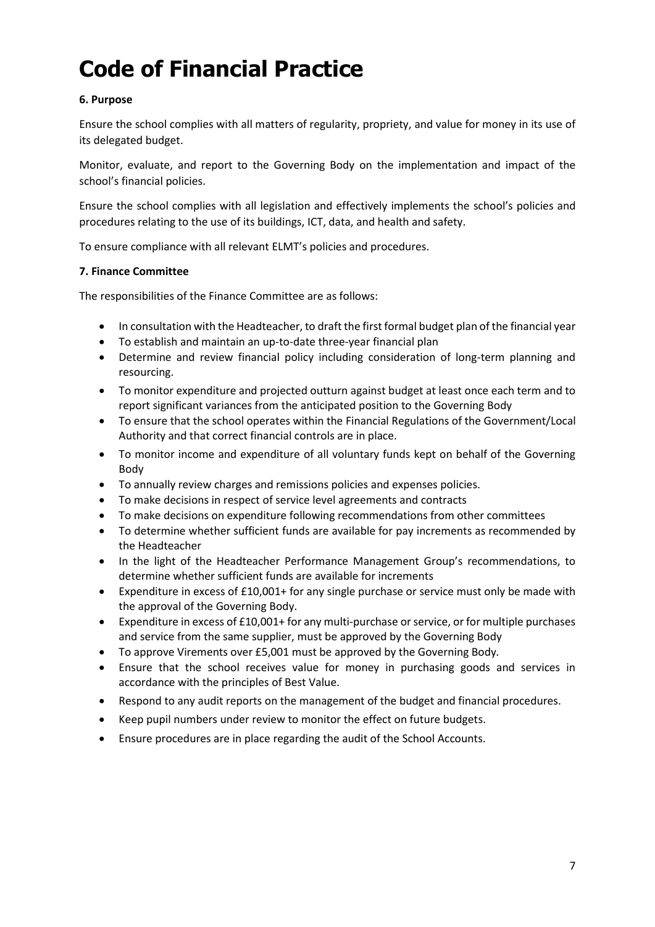## **Code of Financial Practice**

#### **6. Purpose**

Ensure the school complies with all matters of regularity, propriety, and value for money in its use of its delegated budget.

Monitor, evaluate, and report to the Governing Body on the implementation and impact of the school's financial policies.

Ensure the school complies with all legislation and effectively implements the school's policies and procedures relating to the use of its buildings, ICT, data, and health and safety.

To ensure compliance with all relevant ELMT's policies and procedures.

#### **7. Finance Committee**

The responsibilities of the Finance Committee are as follows:

- In consultation with the Headteacher, to draft the first formal budget plan of the financial year
- To establish and maintain an up-to-date three-year financial plan
- Determine and review financial policy including consideration of long-term planning and resourcing.
- To monitor expenditure and projected outturn against budget at least once each term and to report significant variances from the anticipated position to the Governing Body
- To ensure that the school operates within the Financial Regulations of the Government/Local Authority and that correct financial controls are in place.
- To monitor income and expenditure of all voluntary funds kept on behalf of the Governing Body
- To annually review charges and remissions policies and expenses policies.
- To make decisions in respect of service level agreements and contracts
- To make decisions on expenditure following recommendations from other committees
- To determine whether sufficient funds are available for pay increments as recommended by the Headteacher
- In the light of the Headteacher Performance Management Group's recommendations, to determine whether sufficient funds are available for increments
- Expenditure in excess of £10,001+ for any single purchase or service must only be made with the approval of the Governing Body.
- Expenditure in excess of £10,001+ for any multi-purchase or service, or for multiple purchases and service from the same supplier, must be approved by the Governing Body
- To approve Virements over £5,001 must be approved by the Governing Body*.*
- Ensure that the school receives value for money in purchasing goods and services in accordance with the principles of Best Value.
- Respond to any audit reports on the management of the budget and financial procedures.
- Keep pupil numbers under review to monitor the effect on future budgets.
- Ensure procedures are in place regarding the audit of the School Accounts.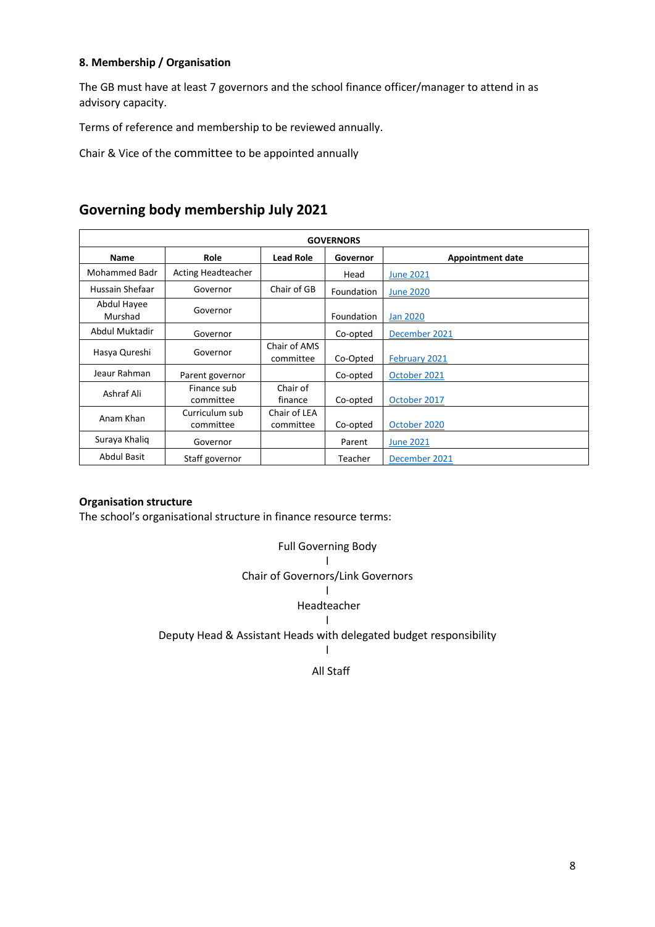#### **8. Membership / Organisation**

The GB must have at least 7 governors and the school finance officer/manager to attend in as advisory capacity.

Terms of reference and membership to be reviewed annually.

Chair & Vice of the committee to be appointed annually

#### **Governing body membership July 2021**

| <b>GOVERNORS</b>       |                             |                           |            |                         |
|------------------------|-----------------------------|---------------------------|------------|-------------------------|
| <b>Name</b>            | Role                        | <b>Lead Role</b>          | Governor   | <b>Appointment date</b> |
| Mohammed Badr          | <b>Acting Headteacher</b>   |                           | Head       | <b>June 2021</b>        |
| Hussain Shefaar        | Governor                    | Chair of GB               | Foundation | June 2020               |
| Abdul Hayee<br>Murshad | Governor                    |                           | Foundation | Jan 2020                |
| Abdul Muktadir         | Governor                    |                           | Co-opted   | December 2021           |
| Hasya Qureshi          | Governor                    | Chair of AMS<br>committee | Co-Opted   | February 2021           |
| Jeaur Rahman           | Parent governor             |                           | Co-opted   | October 2021            |
| Ashraf Ali             | Finance sub<br>committee    | Chair of<br>finance       | Co-opted   | October 2017            |
| Anam Khan              | Curriculum sub<br>committee | Chair of LEA<br>committee | Co-opted   | October 2020            |
| Suraya Khaliq          | Governor                    |                           | Parent     | <b>June 2021</b>        |
| <b>Abdul Basit</b>     | Staff governor              |                           | Teacher    | December 2021           |

#### **Organisation structure**

The school's organisational structure in finance resource terms:

Full Governing Body l Chair of Governors/Link Governors l Headteacher l Deputy Head & Assistant Heads with delegated budget responsibility l

All Staff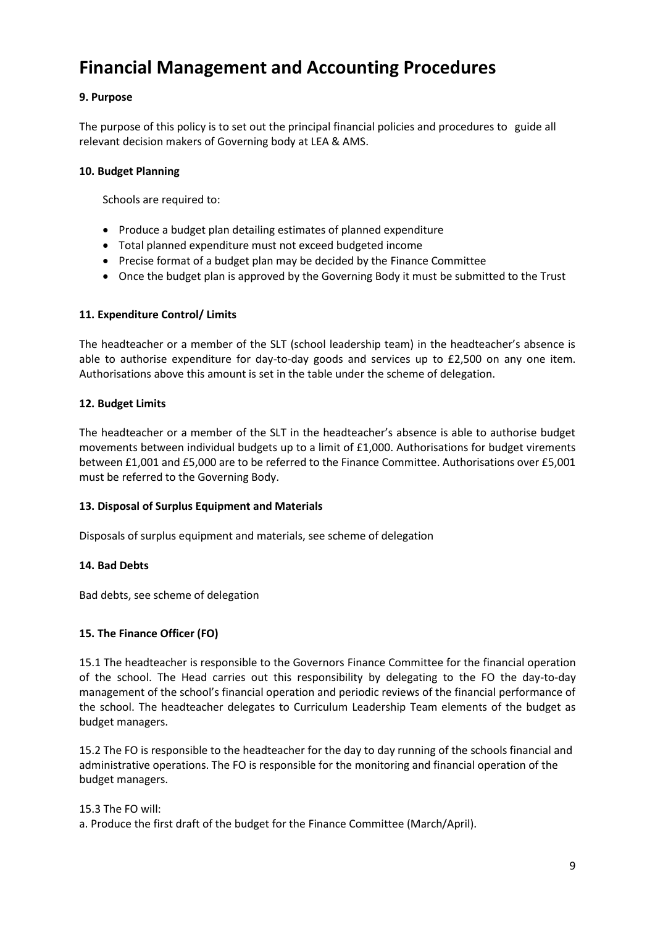### **Financial Management and Accounting Procedures**

#### **9. Purpose**

The purpose of this policy is to set out the principal financial policies and procedures to guide all relevant decision makers of Governing body at LEA & AMS.

#### **10. Budget Planning**

Schools are required to:

- Produce a budget plan detailing estimates of planned expenditure
- Total planned expenditure must not exceed budgeted income
- Precise format of a budget plan may be decided by the Finance Committee
- Once the budget plan is approved by the Governing Body it must be submitted to the Trust

#### **11. Expenditure Control/ Limits**

The headteacher or a member of the SLT (school leadership team) in the headteacher's absence is able to authorise expenditure for day-to-day goods and services up to £2,500 on any one item. Authorisations above this amount is set in the table under the scheme of delegation.

#### **12. Budget Limits**

The headteacher or a member of the SLT in the headteacher's absence is able to authorise budget movements between individual budgets up to a limit of £1,000. Authorisations for budget virements between £1,001 and £5,000 are to be referred to the Finance Committee. Authorisations over £5,001 must be referred to the Governing Body.

#### **13. Disposal of Surplus Equipment and Materials**

Disposals of surplus equipment and materials, see scheme of delegation

#### **14. Bad Debts**

Bad debts, see scheme of delegation

#### **15. The Finance Officer (FO)**

15.1 The headteacher is responsible to the Governors Finance Committee for the financial operation of the school. The Head carries out this responsibility by delegating to the FO the day-to-day management of the school's financial operation and periodic reviews of the financial performance of the school. The headteacher delegates to Curriculum Leadership Team elements of the budget as budget managers.

15.2 The FO is responsible to the headteacher for the day to day running of the schools financial and administrative operations. The FO is responsible for the monitoring and financial operation of the budget managers.

#### 15.3 The FO will:

a. Produce the first draft of the budget for the Finance Committee (March/April).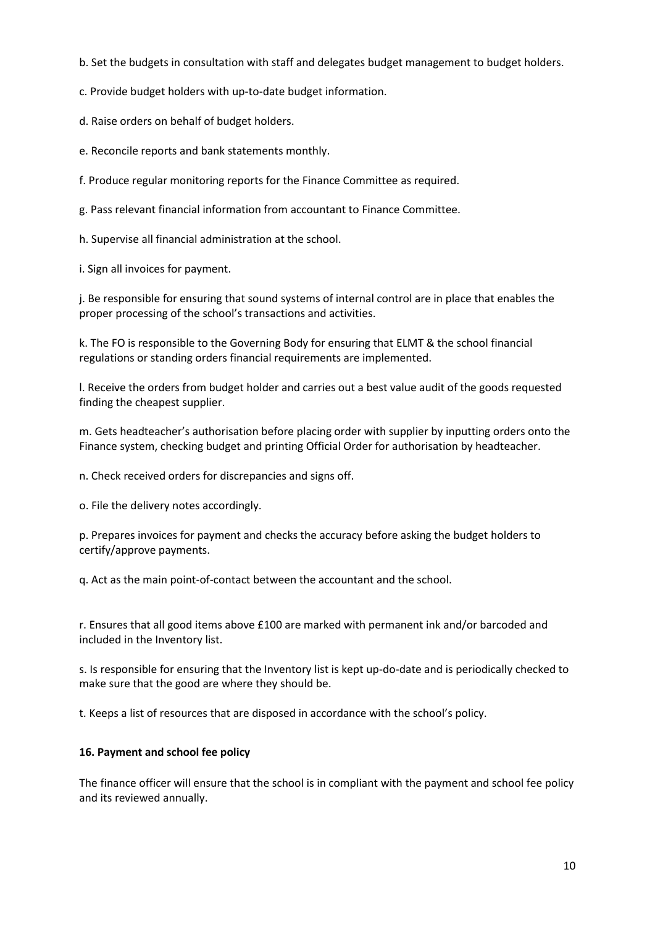b. Set the budgets in consultation with staff and delegates budget management to budget holders.

c. Provide budget holders with up-to-date budget information.

d. Raise orders on behalf of budget holders.

e. Reconcile reports and bank statements monthly.

f. Produce regular monitoring reports for the Finance Committee as required.

g. Pass relevant financial information from accountant to Finance Committee.

h. Supervise all financial administration at the school.

i. Sign all invoices for payment.

j. Be responsible for ensuring that sound systems of internal control are in place that enables the proper processing of the school's transactions and activities.

k. The FO is responsible to the Governing Body for ensuring that ELMT & the school financial regulations or standing orders financial requirements are implemented.

l. Receive the orders from budget holder and carries out a best value audit of the goods requested finding the cheapest supplier.

m. Gets headteacher's authorisation before placing order with supplier by inputting orders onto the Finance system, checking budget and printing Official Order for authorisation by headteacher.

n. Check received orders for discrepancies and signs off.

o. File the delivery notes accordingly.

p. Prepares invoices for payment and checks the accuracy before asking the budget holders to certify/approve payments.

q. Act as the main point-of-contact between the accountant and the school.

r. Ensures that all good items above £100 are marked with permanent ink and/or barcoded and included in the Inventory list.

s. Is responsible for ensuring that the Inventory list is kept up-do-date and is periodically checked to make sure that the good are where they should be.

t. Keeps a list of resources that are disposed in accordance with the school's policy.

#### **16. Payment and school fee policy**

The finance officer will ensure that the school is in compliant with the payment and school fee policy and its reviewed annually.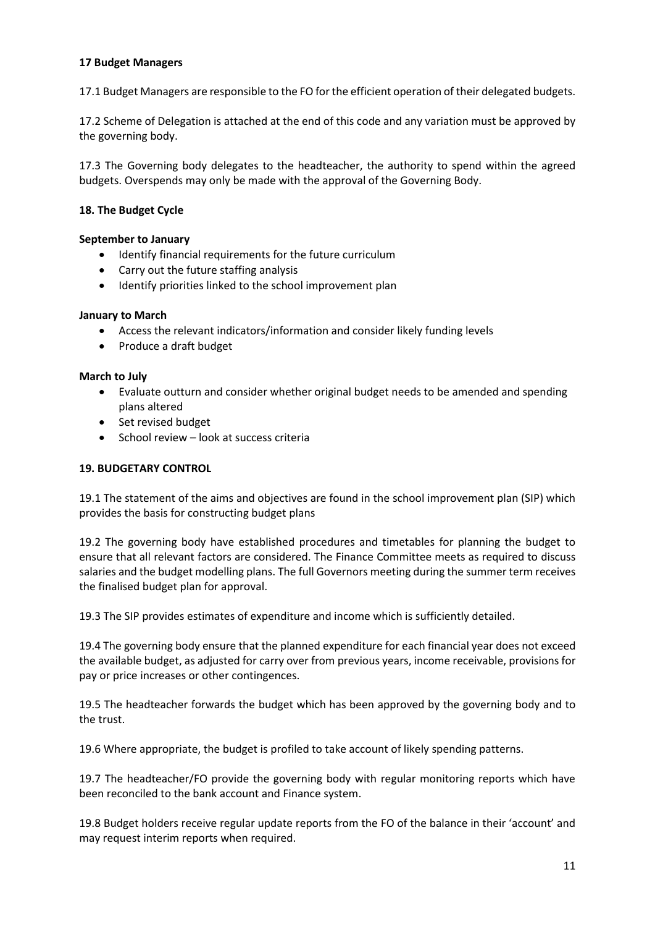#### **17 Budget Managers**

17.1 Budget Managers are responsible to the FO for the efficient operation of their delegated budgets.

17.2 Scheme of Delegation is attached at the end of this code and any variation must be approved by the governing body.

17.3 The Governing body delegates to the headteacher, the authority to spend within the agreed budgets. Overspends may only be made with the approval of the Governing Body.

#### **18. The Budget Cycle**

#### **September to January**

- Identify financial requirements for the future curriculum
- Carry out the future staffing analysis
- Identify priorities linked to the school improvement plan

#### **January to March**

- Access the relevant indicators/information and consider likely funding levels
- Produce a draft budget

#### **March to July**

- Evaluate outturn and consider whether original budget needs to be amended and spending plans altered
- Set revised budget
- School review look at success criteria

#### **19. BUDGETARY CONTROL**

19.1 The statement of the aims and objectives are found in the school improvement plan (SIP) which provides the basis for constructing budget plans

19.2 The governing body have established procedures and timetables for planning the budget to ensure that all relevant factors are considered. The Finance Committee meets as required to discuss salaries and the budget modelling plans. The full Governors meeting during the summer term receives the finalised budget plan for approval.

19.3 The SIP provides estimates of expenditure and income which is sufficiently detailed.

19.4 The governing body ensure that the planned expenditure for each financial year does not exceed the available budget, as adjusted for carry over from previous years, income receivable, provisions for pay or price increases or other contingences.

19.5 The headteacher forwards the budget which has been approved by the governing body and to the trust.

19.6 Where appropriate, the budget is profiled to take account of likely spending patterns.

19.7 The headteacher/FO provide the governing body with regular monitoring reports which have been reconciled to the bank account and Finance system.

19.8 Budget holders receive regular update reports from the FO of the balance in their 'account' and may request interim reports when required.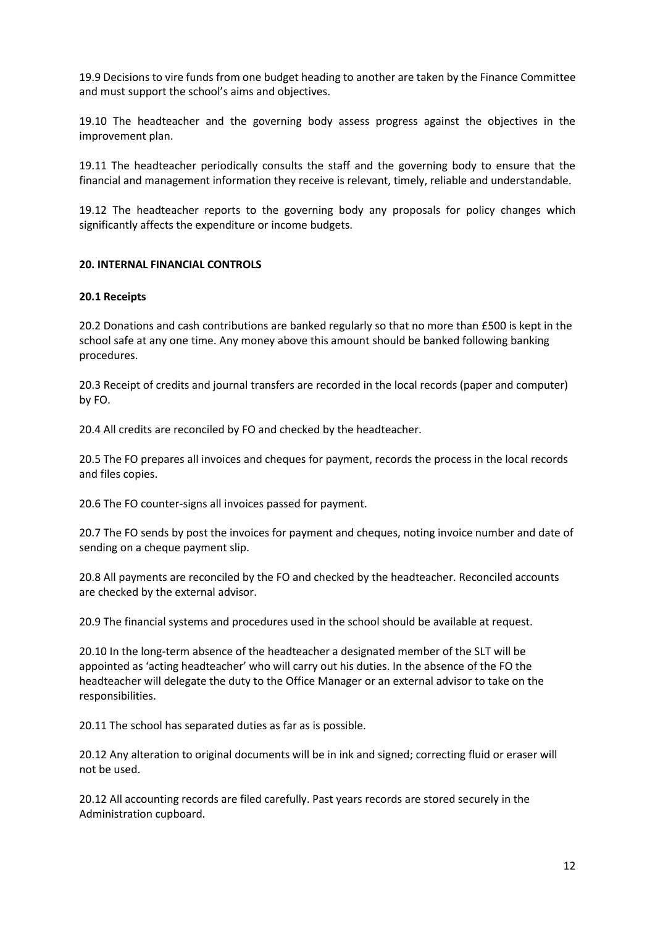19.9 Decisions to vire funds from one budget heading to another are taken by the Finance Committee and must support the school's aims and objectives.

19.10 The headteacher and the governing body assess progress against the objectives in the improvement plan.

19.11 The headteacher periodically consults the staff and the governing body to ensure that the financial and management information they receive is relevant, timely, reliable and understandable.

19.12 The headteacher reports to the governing body any proposals for policy changes which significantly affects the expenditure or income budgets.

#### **20. INTERNAL FINANCIAL CONTROLS**

#### **20.1 Receipts**

20.2 Donations and cash contributions are banked regularly so that no more than £500 is kept in the school safe at any one time. Any money above this amount should be banked following banking procedures.

20.3 Receipt of credits and journal transfers are recorded in the local records (paper and computer) by FO.

20.4 All credits are reconciled by FO and checked by the headteacher.

20.5 The FO prepares all invoices and cheques for payment, records the process in the local records and files copies.

20.6 The FO counter-signs all invoices passed for payment.

20.7 The FO sends by post the invoices for payment and cheques, noting invoice number and date of sending on a cheque payment slip.

20.8 All payments are reconciled by the FO and checked by the headteacher. Reconciled accounts are checked by the external advisor.

20.9 The financial systems and procedures used in the school should be available at request.

20.10 In the long-term absence of the headteacher a designated member of the SLT will be appointed as 'acting headteacher' who will carry out his duties. In the absence of the FO the headteacher will delegate the duty to the Office Manager or an external advisor to take on the responsibilities.

20.11 The school has separated duties as far as is possible.

20.12 Any alteration to original documents will be in ink and signed; correcting fluid or eraser will not be used.

20.12 All accounting records are filed carefully. Past years records are stored securely in the Administration cupboard.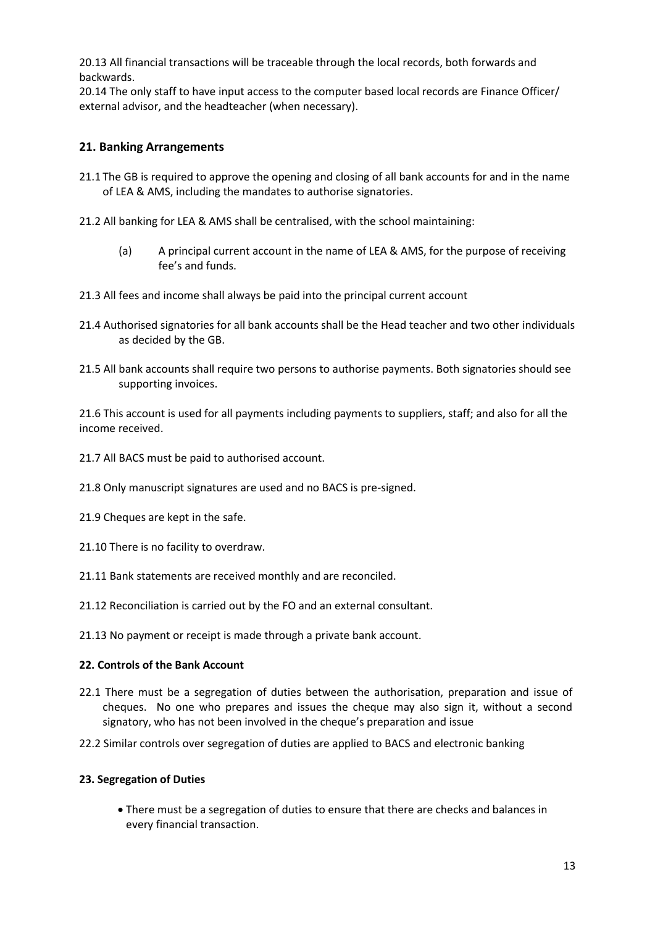20.13 All financial transactions will be traceable through the local records, both forwards and backwards.

20.14 The only staff to have input access to the computer based local records are Finance Officer/ external advisor, and the headteacher (when necessary).

#### **21. Banking Arrangements**

- 21.1 The GB is required to approve the opening and closing of all bank accounts for and in the name of LEA & AMS, including the mandates to authorise signatories.
- 21.2 All banking for LEA & AMS shall be centralised, with the school maintaining:
	- (a) A principal current account in the name of LEA & AMS, for the purpose of receiving fee's and funds.
- 21.3 All fees and income shall always be paid into the principal current account
- 21.4 Authorised signatories for all bank accounts shall be the Head teacher and two other individuals as decided by the GB.
- 21.5 All bank accounts shall require two persons to authorise payments. Both signatories should see supporting invoices.

21.6 This account is used for all payments including payments to suppliers, staff; and also for all the income received.

- 21.7 All BACS must be paid to authorised account.
- 21.8 Only manuscript signatures are used and no BACS is pre-signed.
- 21.9 Cheques are kept in the safe.
- 21.10 There is no facility to overdraw.
- 21.11 Bank statements are received monthly and are reconciled.
- 21.12 Reconciliation is carried out by the FO and an external consultant.
- 21.13 No payment or receipt is made through a private bank account.

#### **22. Controls of the Bank Account**

- 22.1 There must be a segregation of duties between the authorisation, preparation and issue of cheques. No one who prepares and issues the cheque may also sign it, without a second signatory, who has not been involved in the cheque's preparation and issue
- 22.2 Similar controls over segregation of duties are applied to BACS and electronic banking

#### **23. Segregation of Duties**

• There must be a segregation of duties to ensure that there are checks and balances in every financial transaction.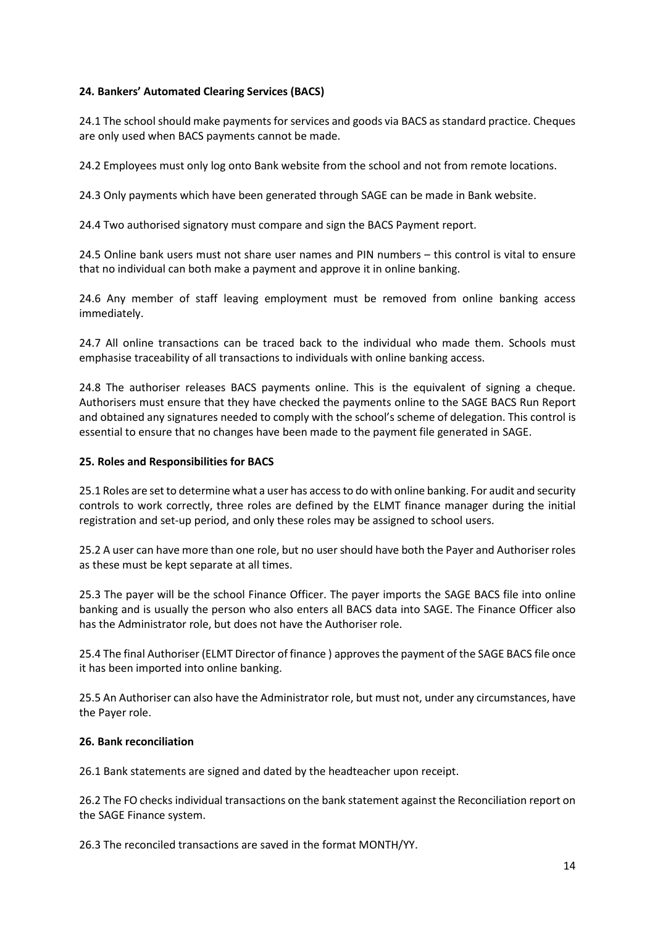#### **24. Bankers' Automated Clearing Services (BACS)**

24.1 The school should make payments for services and goods via BACS as standard practice. Cheques are only used when BACS payments cannot be made.

24.2 Employees must only log onto Bank website from the school and not from remote locations.

24.3 Only payments which have been generated through SAGE can be made in Bank website.

24.4 Two authorised signatory must compare and sign the BACS Payment report.

24.5 Online bank users must not share user names and PIN numbers – this control is vital to ensure that no individual can both make a payment and approve it in online banking.

24.6 Any member of staff leaving employment must be removed from online banking access immediately.

24.7 All online transactions can be traced back to the individual who made them. Schools must emphasise traceability of all transactions to individuals with online banking access.

24.8 The authoriser releases BACS payments online. This is the equivalent of signing a cheque. Authorisers must ensure that they have checked the payments online to the SAGE BACS Run Report and obtained any signatures needed to comply with the school's scheme of delegation. This control is essential to ensure that no changes have been made to the payment file generated in SAGE.

#### **25. Roles and Responsibilities for BACS**

25.1 Roles are set to determine what a user has access to do with online banking. For audit and security controls to work correctly, three roles are defined by the ELMT finance manager during the initial registration and set-up period, and only these roles may be assigned to school users.

25.2 A user can have more than one role, but no user should have both the Payer and Authoriser roles as these must be kept separate at all times.

25.3 The payer will be the school Finance Officer. The payer imports the SAGE BACS file into online banking and is usually the person who also enters all BACS data into SAGE. The Finance Officer also has the Administrator role, but does not have the Authoriser role.

25.4 The final Authoriser (ELMT Director of finance ) approves the payment of the SAGE BACS file once it has been imported into online banking.

25.5 An Authoriser can also have the Administrator role, but must not, under any circumstances, have the Payer role.

#### **26. Bank reconciliation**

26.1 Bank statements are signed and dated by the headteacher upon receipt.

26.2 The FO checks individual transactions on the bank statement against the Reconciliation report on the SAGE Finance system.

26.3 The reconciled transactions are saved in the format MONTH/YY.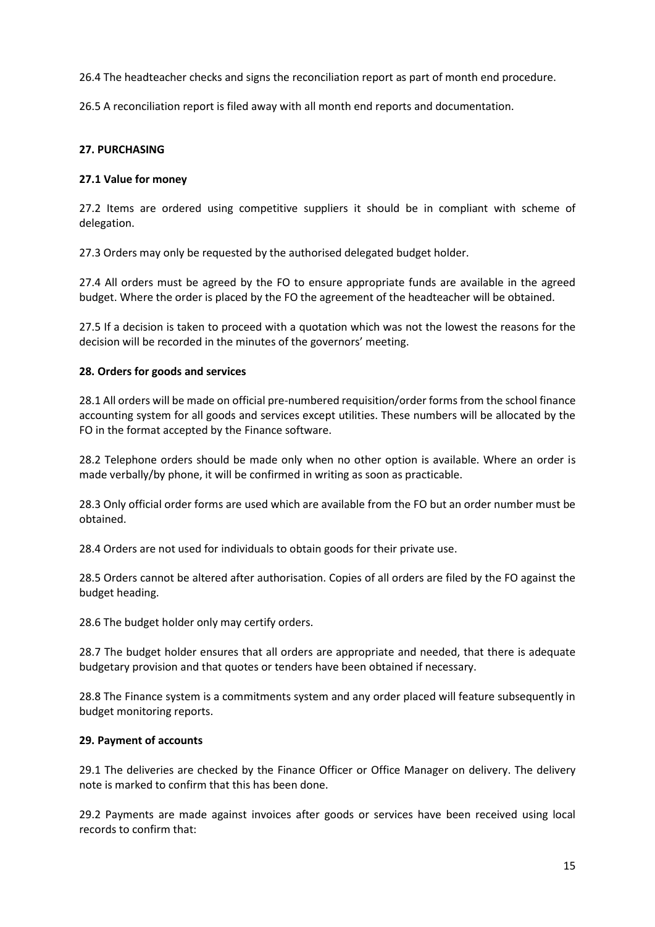26.4 The headteacher checks and signs the reconciliation report as part of month end procedure.

26.5 A reconciliation report is filed away with all month end reports and documentation.

#### **27. PURCHASING**

#### **27.1 Value for money**

27.2 Items are ordered using competitive suppliers it should be in compliant with scheme of delegation.

27.3 Orders may only be requested by the authorised delegated budget holder.

27.4 All orders must be agreed by the FO to ensure appropriate funds are available in the agreed budget. Where the order is placed by the FO the agreement of the headteacher will be obtained.

27.5 If a decision is taken to proceed with a quotation which was not the lowest the reasons for the decision will be recorded in the minutes of the governors' meeting.

#### **28. Orders for goods and services**

28.1 All orders will be made on official pre-numbered requisition/order forms from the school finance accounting system for all goods and services except utilities. These numbers will be allocated by the FO in the format accepted by the Finance software.

28.2 Telephone orders should be made only when no other option is available. Where an order is made verbally/by phone, it will be confirmed in writing as soon as practicable.

28.3 Only official order forms are used which are available from the FO but an order number must be obtained.

28.4 Orders are not used for individuals to obtain goods for their private use.

28.5 Orders cannot be altered after authorisation. Copies of all orders are filed by the FO against the budget heading.

28.6 The budget holder only may certify orders.

28.7 The budget holder ensures that all orders are appropriate and needed, that there is adequate budgetary provision and that quotes or tenders have been obtained if necessary.

28.8 The Finance system is a commitments system and any order placed will feature subsequently in budget monitoring reports.

#### **29. Payment of accounts**

29.1 The deliveries are checked by the Finance Officer or Office Manager on delivery. The delivery note is marked to confirm that this has been done.

29.2 Payments are made against invoices after goods or services have been received using local records to confirm that: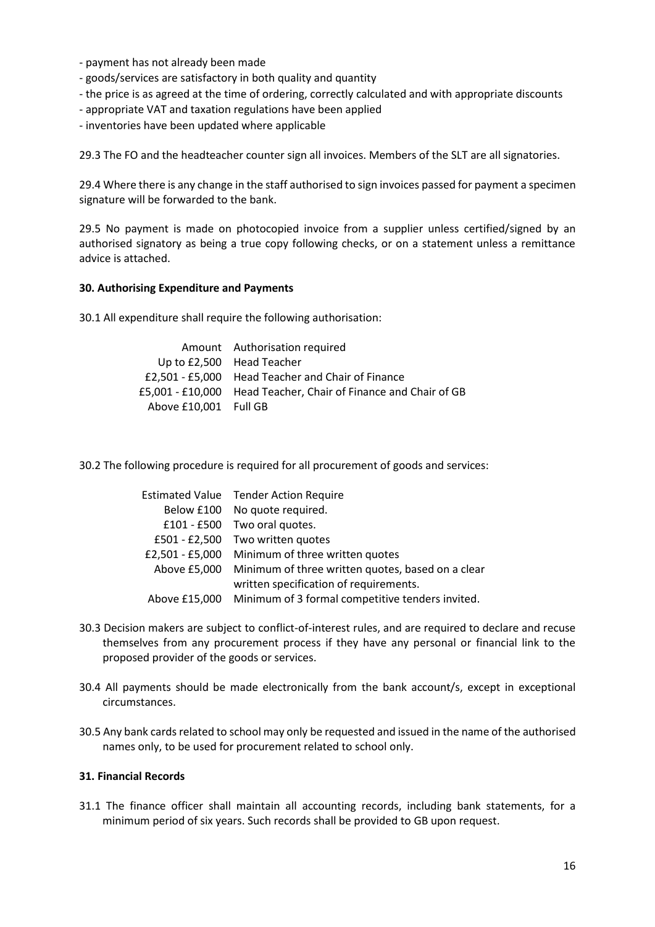- payment has not already been made
- goods/services are satisfactory in both quality and quantity
- the price is as agreed at the time of ordering, correctly calculated and with appropriate discounts
- appropriate VAT and taxation regulations have been applied
- inventories have been updated where applicable

29.3 The FO and the headteacher counter sign all invoices. Members of the SLT are all signatories.

29.4 Where there is any change in the staff authorised to sign invoices passed for payment a specimen signature will be forwarded to the bank.

29.5 No payment is made on photocopied invoice from a supplier unless certified/signed by an authorised signatory as being a true copy following checks, or on a statement unless a remittance advice is attached.

#### **30. Authorising Expenditure and Payments**

30.1 All expenditure shall require the following authorisation:

|                       | Amount Authorisation required                                   |
|-----------------------|-----------------------------------------------------------------|
|                       | Up to £2,500 Head Teacher                                       |
|                       | £2,501 - £5,000 Head Teacher and Chair of Finance               |
|                       | £5,001 - £10,000 Head Teacher, Chair of Finance and Chair of GB |
| Above £10,001 Full GB |                                                                 |

30.2 The following procedure is required for all procurement of goods and services:

|                 | Estimated Value Tender Action Require                          |
|-----------------|----------------------------------------------------------------|
|                 | Below £100 No quote required.                                  |
|                 | £101 - £500 Two oral quotes.                                   |
|                 | £501 - £2,500 Two written quotes                               |
| £2,501 - £5,000 | Minimum of three written quotes                                |
| Above £5,000    | Minimum of three written quotes, based on a clear              |
|                 | written specification of requirements.                         |
|                 | Above £15,000 Minimum of 3 formal competitive tenders invited. |

- 30.3 Decision makers are subject to conflict-of-interest rules, and are required to declare and recuse themselves from any procurement process if they have any personal or financial link to the proposed provider of the goods or services.
- 30.4 All payments should be made electronically from the bank account/s, except in exceptional circumstances.
- 30.5 Any bank cards related to school may only be requested and issued in the name of the authorised names only, to be used for procurement related to school only.

#### **31. Financial Records**

31.1 The finance officer shall maintain all accounting records, including bank statements, for a minimum period of six years. Such records shall be provided to GB upon request.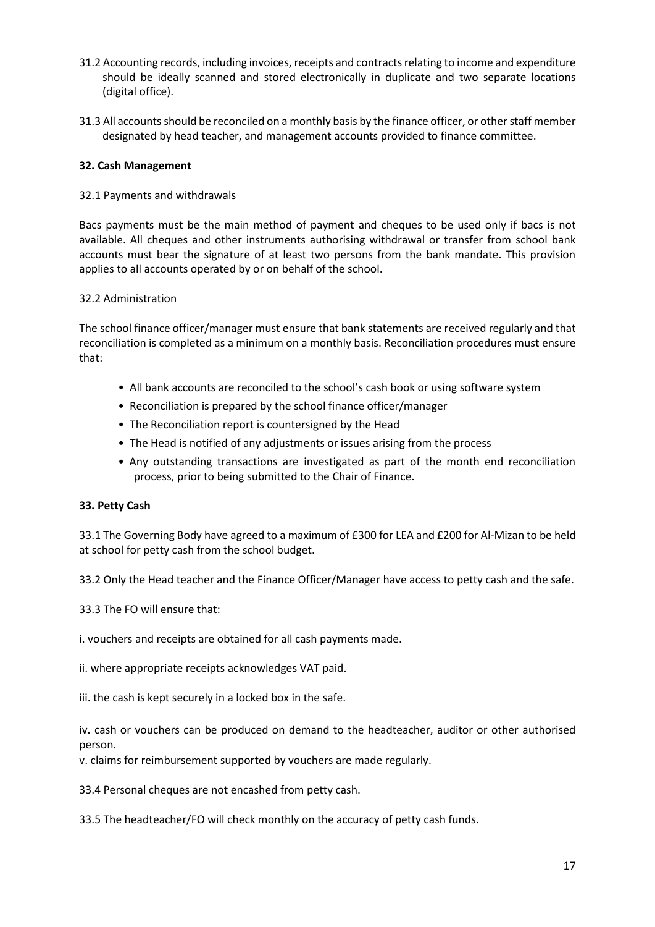- 31.2 Accounting records, including invoices, receipts and contracts relating to income and expenditure should be ideally scanned and stored electronically in duplicate and two separate locations (digital office).
- 31.3 All accounts should be reconciled on a monthly basis by the finance officer, or other staff member designated by head teacher, and management accounts provided to finance committee.

#### **32. Cash Management**

#### 32.1 Payments and withdrawals

Bacs payments must be the main method of payment and cheques to be used only if bacs is not available. All cheques and other instruments authorising withdrawal or transfer from school bank accounts must bear the signature of at least two persons from the bank mandate. This provision applies to all accounts operated by or on behalf of the school.

#### 32.2 Administration

The school finance officer/manager must ensure that bank statements are received regularly and that reconciliation is completed as a minimum on a monthly basis. Reconciliation procedures must ensure that:

- All bank accounts are reconciled to the school's cash book or using software system
- Reconciliation is prepared by the school finance officer/manager
- The Reconciliation report is countersigned by the Head
- The Head is notified of any adjustments or issues arising from the process
- Any outstanding transactions are investigated as part of the month end reconciliation process, prior to being submitted to the Chair of Finance.

#### **33. Petty Cash**

33.1 The Governing Body have agreed to a maximum of £300 for LEA and £200 for Al-Mizan to be held at school for petty cash from the school budget.

33.2 Only the Head teacher and the Finance Officer/Manager have access to petty cash and the safe.

33.3 The FO will ensure that:

i. vouchers and receipts are obtained for all cash payments made.

ii. where appropriate receipts acknowledges VAT paid.

iii. the cash is kept securely in a locked box in the safe.

iv. cash or vouchers can be produced on demand to the headteacher, auditor or other authorised person.

v. claims for reimbursement supported by vouchers are made regularly.

33.4 Personal cheques are not encashed from petty cash.

33.5 The headteacher/FO will check monthly on the accuracy of petty cash funds.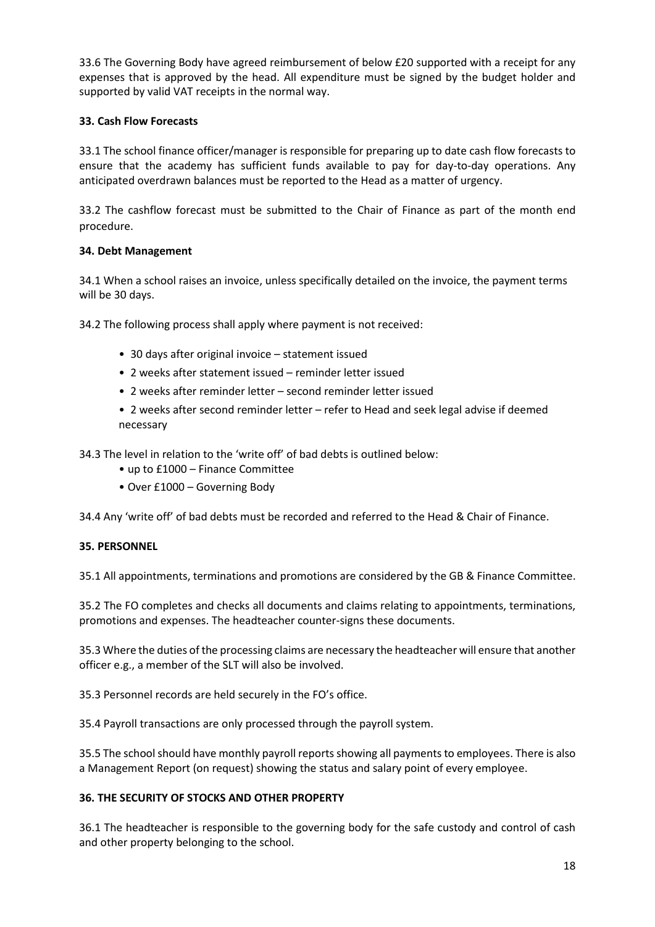33.6 The Governing Body have agreed reimbursement of below £20 supported with a receipt for any expenses that is approved by the head. All expenditure must be signed by the budget holder and supported by valid VAT receipts in the normal way.

#### **33. Cash Flow Forecasts**

33.1 The school finance officer/manager is responsible for preparing up to date cash flow forecasts to ensure that the academy has sufficient funds available to pay for day-to-day operations. Any anticipated overdrawn balances must be reported to the Head as a matter of urgency.

33.2 The cashflow forecast must be submitted to the Chair of Finance as part of the month end procedure.

#### **34. Debt Management**

34.1 When a school raises an invoice, unless specifically detailed on the invoice, the payment terms will be 30 days.

34.2 The following process shall apply where payment is not received:

- 30 days after original invoice statement issued
- 2 weeks after statement issued reminder letter issued
- 2 weeks after reminder letter second reminder letter issued
- 2 weeks after second reminder letter refer to Head and seek legal advise if deemed necessary

34.3 The level in relation to the 'write off' of bad debts is outlined below:

- up to £1000 Finance Committee
- Over £1000 Governing Body

34.4 Any 'write off' of bad debts must be recorded and referred to the Head & Chair of Finance.

#### **35. PERSONNEL**

35.1 All appointments, terminations and promotions are considered by the GB & Finance Committee.

35.2 The FO completes and checks all documents and claims relating to appointments, terminations, promotions and expenses. The headteacher counter-signs these documents.

35.3 Where the duties of the processing claims are necessary the headteacher will ensure that another officer e.g., a member of the SLT will also be involved.

35.3 Personnel records are held securely in the FO's office.

35.4 Payroll transactions are only processed through the payroll system.

35.5 The school should have monthly payroll reports showing all payments to employees. There is also a Management Report (on request) showing the status and salary point of every employee.

#### **36. THE SECURITY OF STOCKS AND OTHER PROPERTY**

36.1 The headteacher is responsible to the governing body for the safe custody and control of cash and other property belonging to the school.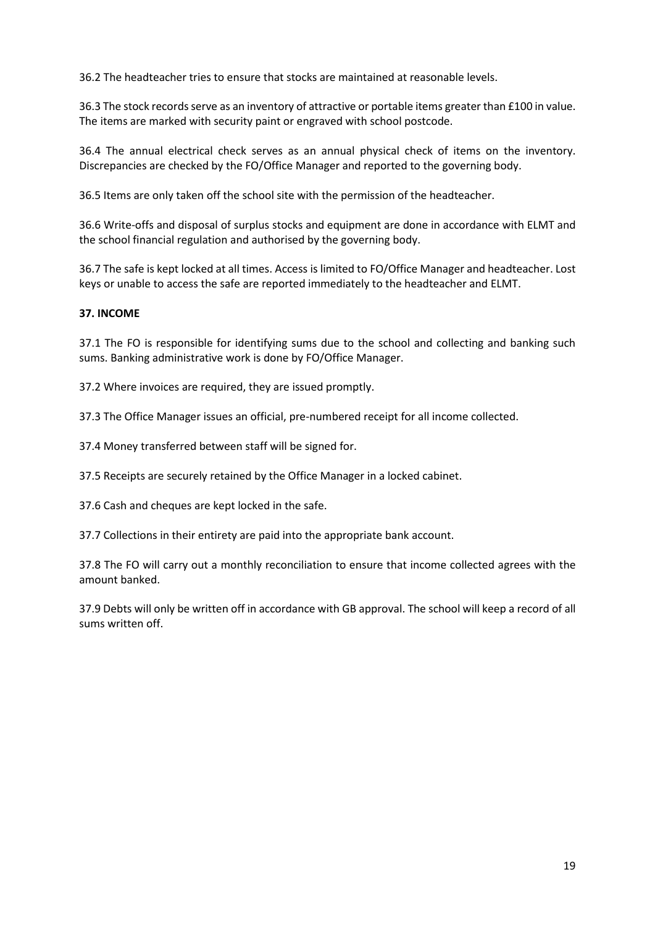36.2 The headteacher tries to ensure that stocks are maintained at reasonable levels.

36.3 The stock records serve as an inventory of attractive or portable items greater than £100 in value. The items are marked with security paint or engraved with school postcode.

36.4 The annual electrical check serves as an annual physical check of items on the inventory. Discrepancies are checked by the FO/Office Manager and reported to the governing body.

36.5 Items are only taken off the school site with the permission of the headteacher.

36.6 Write-offs and disposal of surplus stocks and equipment are done in accordance with ELMT and the school financial regulation and authorised by the governing body.

36.7 The safe is kept locked at all times. Access is limited to FO/Office Manager and headteacher. Lost keys or unable to access the safe are reported immediately to the headteacher and ELMT.

#### **37. INCOME**

37.1 The FO is responsible for identifying sums due to the school and collecting and banking such sums. Banking administrative work is done by FO/Office Manager.

37.2 Where invoices are required, they are issued promptly.

37.3 The Office Manager issues an official, pre-numbered receipt for all income collected.

37.4 Money transferred between staff will be signed for.

37.5 Receipts are securely retained by the Office Manager in a locked cabinet.

37.6 Cash and cheques are kept locked in the safe.

37.7 Collections in their entirety are paid into the appropriate bank account.

37.8 The FO will carry out a monthly reconciliation to ensure that income collected agrees with the amount banked.

37.9 Debts will only be written off in accordance with GB approval. The school will keep a record of all sums written off.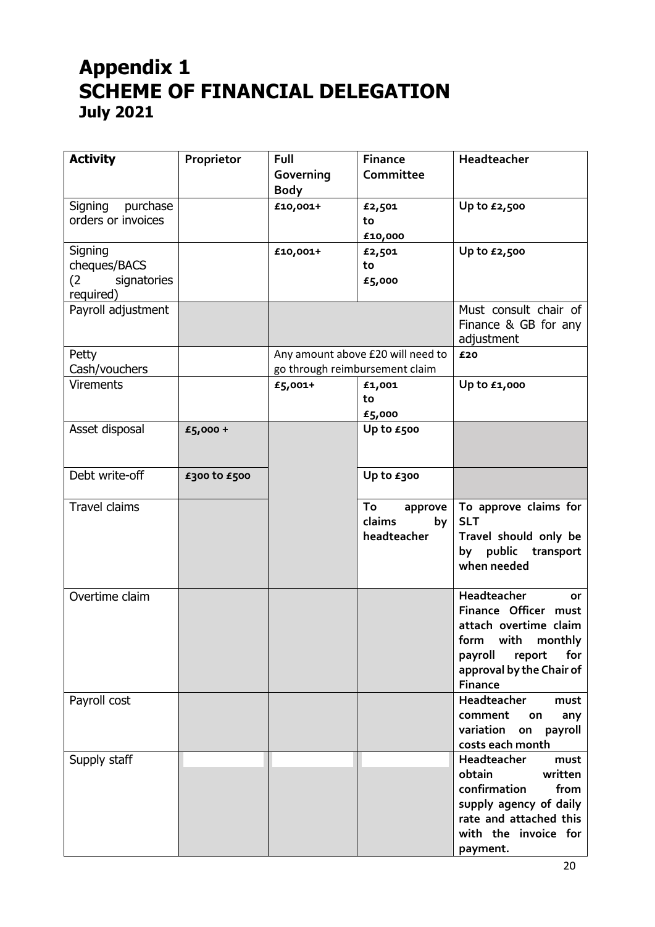### **Appendix 1 SCHEME OF FINANCIAL DELEGATION July 2021**

| <b>Activity</b>                                            | Proprietor   | Full<br>Governing<br><b>Body</b> | <b>Finance</b><br>Committee                         | Headteacher                                                                                                                                                    |
|------------------------------------------------------------|--------------|----------------------------------|-----------------------------------------------------|----------------------------------------------------------------------------------------------------------------------------------------------------------------|
| Signing<br>purchase<br>orders or invoices                  |              | £10,001+                         | £2,501<br>to<br>£10,000                             | Up to $£2,500$                                                                                                                                                 |
| Signing<br>cheques/BACS<br>(2)<br>signatories<br>required) |              | £10,001+                         | £2,501<br>to<br>£5,000                              | Up to $£2,500$                                                                                                                                                 |
| Payroll adjustment                                         |              |                                  |                                                     | Must consult chair of<br>Finance & GB for any<br>adjustment                                                                                                    |
| Petty<br>Cash/vouchers                                     |              | go through reimbursement claim   | Any amount above £20 will need to                   | £20                                                                                                                                                            |
| <b>Virements</b>                                           |              | £5,001+                          | £1,001<br>to<br>£5,000                              | Up to $f1,000$                                                                                                                                                 |
| Asset disposal                                             | £5,000 +     |                                  | Up to £500                                          |                                                                                                                                                                |
| Debt write-off                                             | £300 to £500 |                                  | Up to £300                                          |                                                                                                                                                                |
| <b>Travel claims</b>                                       |              |                                  | <b>To</b><br>approve<br>claims<br>by<br>headteacher | To approve claims for<br><b>SLT</b><br>Travel should only be<br>by public transport<br>when needed                                                             |
| Overtime claim                                             |              |                                  |                                                     | Headteacher<br>or<br>Finance Officer must<br>attach overtime claim<br>form with monthly<br>for<br>payroll report<br>approval by the Chair of<br><b>Finance</b> |
| Payroll cost                                               |              |                                  |                                                     | Headteacher<br>must<br>comment<br>on<br>any<br>variation<br>payroll<br>on<br>costs each month                                                                  |
| Supply staff                                               |              |                                  |                                                     | Headteacher<br>must<br>obtain<br>written<br>confirmation<br>from<br>supply agency of daily<br>rate and attached this<br>with the invoice for<br>payment.       |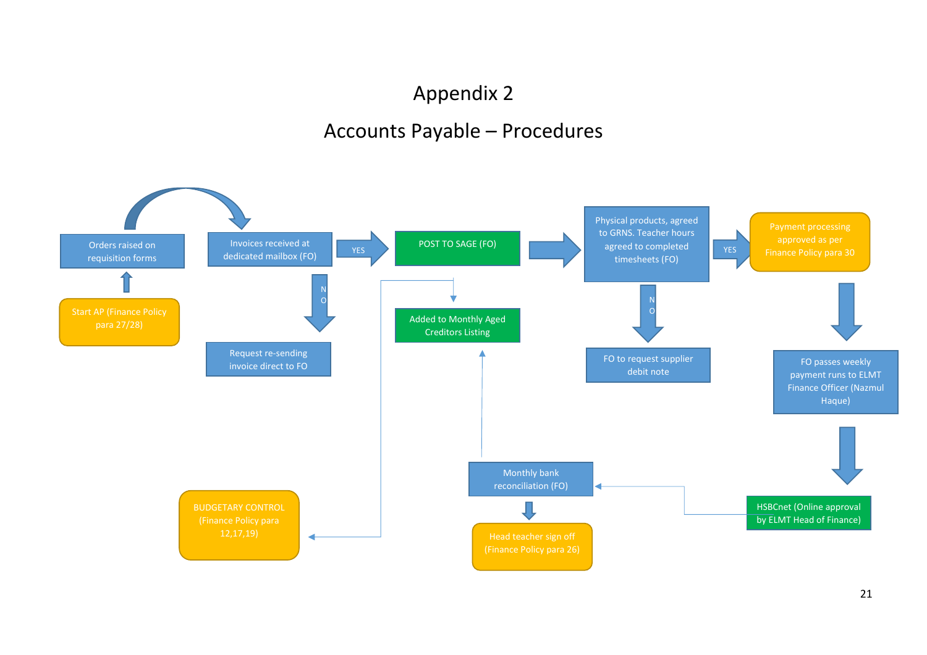### Accounts Payable – Procedures

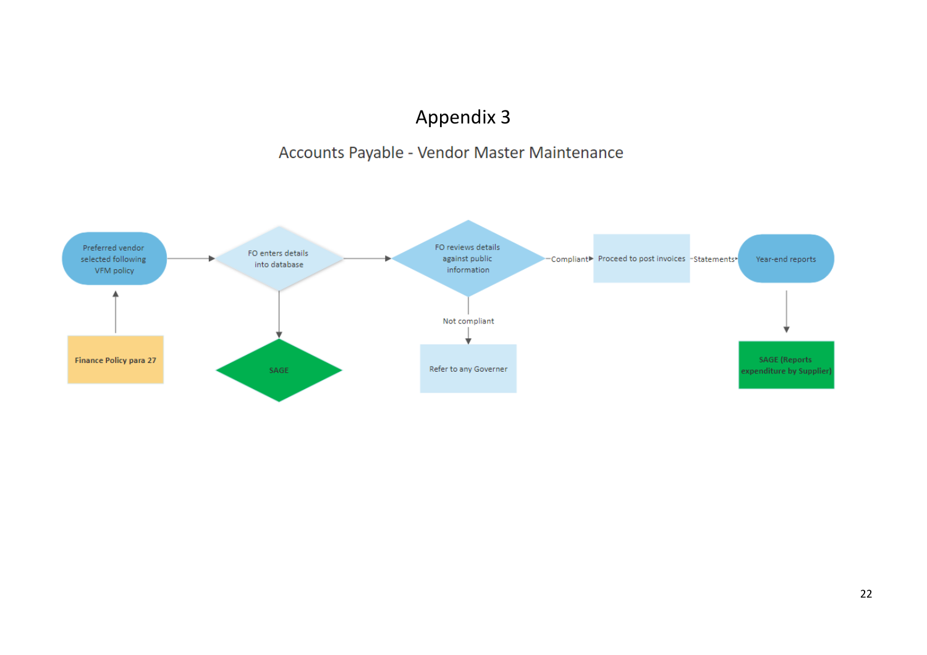### Accounts Payable - Vendor Master Maintenance

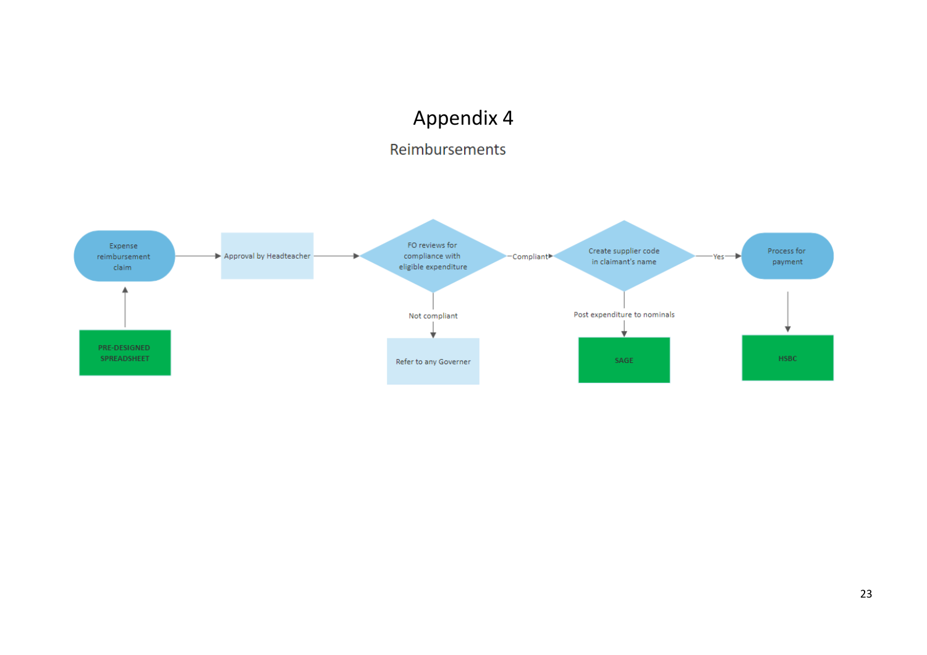#### Reimbursements

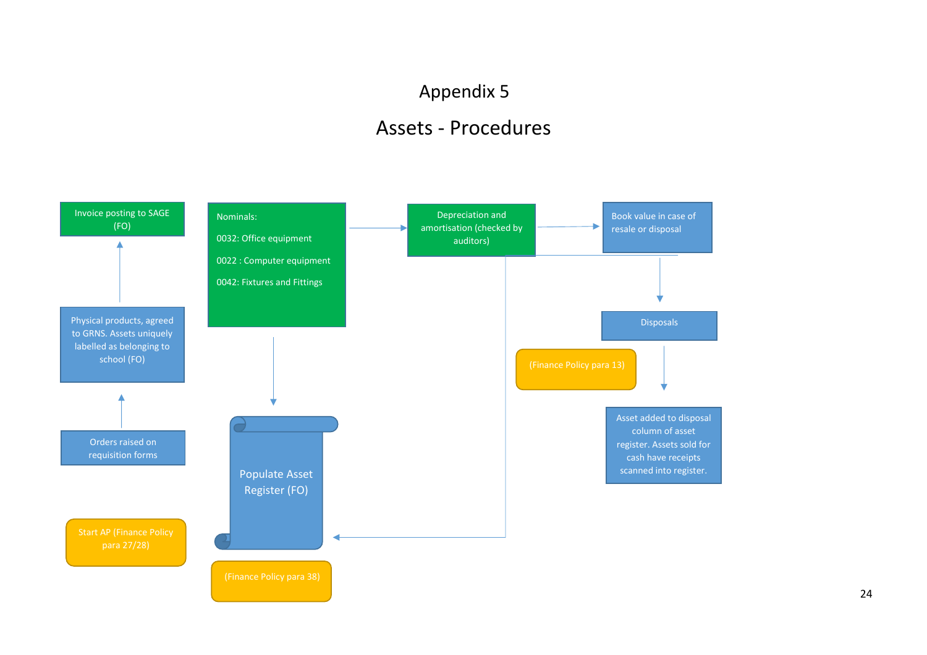### Assets - Procedures

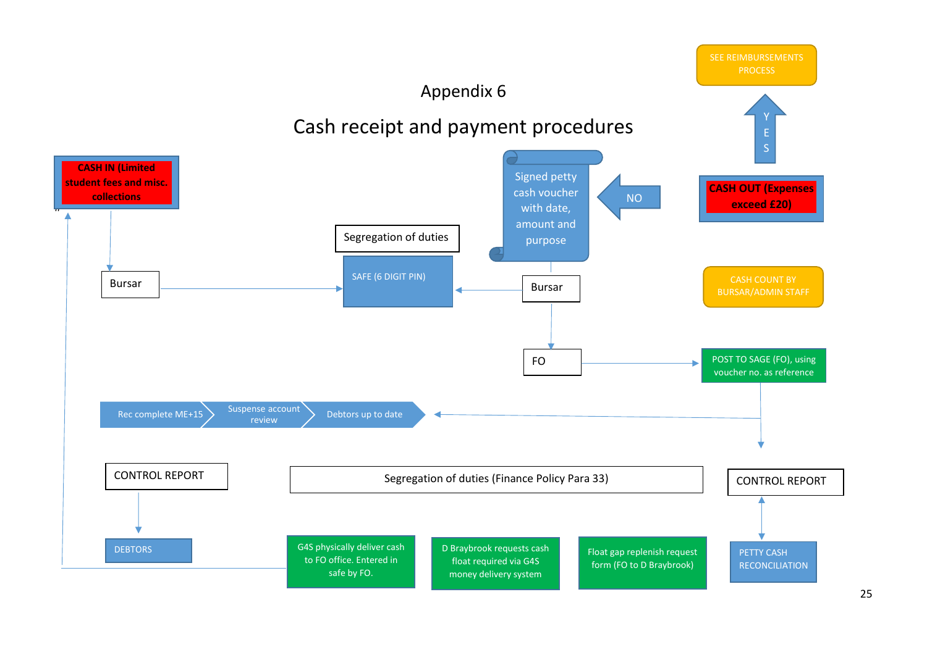

#### 25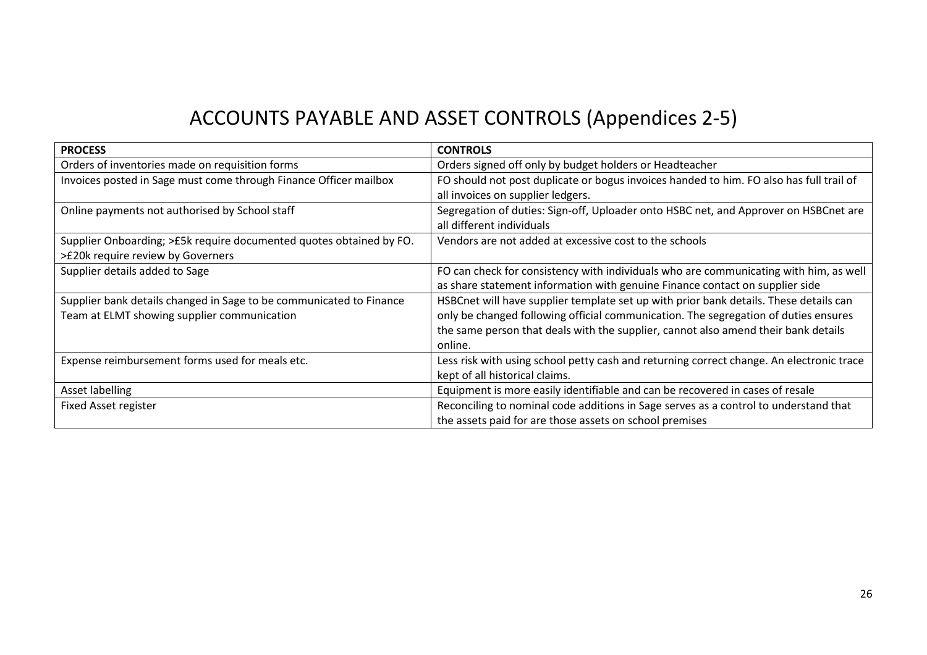### ACCOUNTS PAYABLE AND ASSET CONTROLS (Appendices 2-5)

| <b>PROCESS</b>                                                      | <b>CONTROLS</b>                                                                          |
|---------------------------------------------------------------------|------------------------------------------------------------------------------------------|
| Orders of inventories made on requisition forms                     | Orders signed off only by budget holders or Headteacher                                  |
| Invoices posted in Sage must come through Finance Officer mailbox   | FO should not post duplicate or bogus invoices handed to him. FO also has full trail of  |
|                                                                     | all invoices on supplier ledgers.                                                        |
| Online payments not authorised by School staff                      | Segregation of duties: Sign-off, Uploader onto HSBC net, and Approver on HSBCnet are     |
|                                                                     | all different individuals                                                                |
| Supplier Onboarding; >£5k require documented quotes obtained by FO. | Vendors are not added at excessive cost to the schools                                   |
| >£20k require review by Governers                                   |                                                                                          |
| Supplier details added to Sage                                      | FO can check for consistency with individuals who are communicating with him, as well    |
|                                                                     | as share statement information with genuine Finance contact on supplier side             |
| Supplier bank details changed in Sage to be communicated to Finance | HSBCnet will have supplier template set up with prior bank details. These details can    |
| Team at ELMT showing supplier communication                         | only be changed following official communication. The segregation of duties ensures      |
|                                                                     | the same person that deals with the supplier, cannot also amend their bank details       |
|                                                                     | online.                                                                                  |
| Expense reimbursement forms used for meals etc.                     | Less risk with using school petty cash and returning correct change. An electronic trace |
|                                                                     | kept of all historical claims.                                                           |
| Asset labelling                                                     | Equipment is more easily identifiable and can be recovered in cases of resale            |
| Fixed Asset register                                                | Reconciling to nominal code additions in Sage serves as a control to understand that     |
|                                                                     | the assets paid for are those assets on school premises                                  |